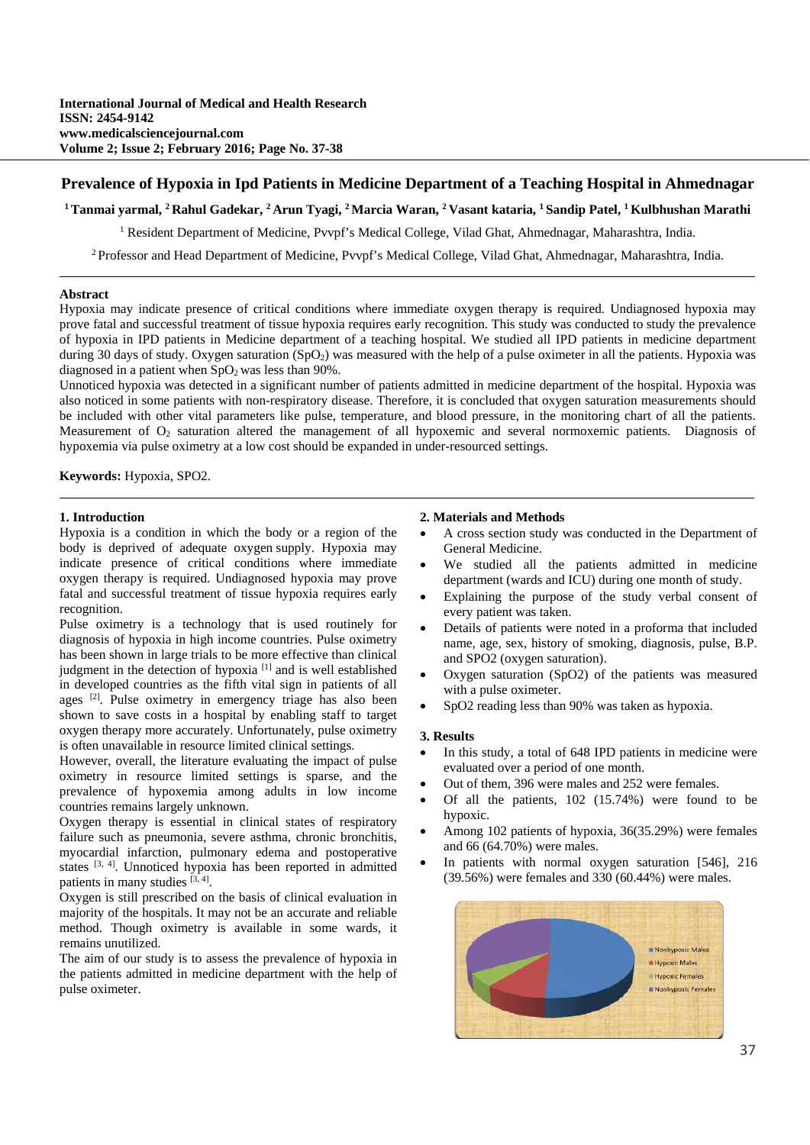# **Prevalence of Hypoxia in Ipd Patients in Medicine Department of a Teaching Hospital in Ahmednagar**

**1 Tanmai yarmal, 2 Rahul Gadekar, 2 Arun Tyagi, 2 Marcia Waran, 2 Vasant kataria, 1 Sandip Patel, 1 Kulbhushan Marathi** 

<sup>1</sup> Resident Department of Medicine, Pvvpf's Medical College, Vilad Ghat, Ahmednagar, Maharashtra, India.

2 Professor and Head Department of Medicine, Pvvpf's Medical College, Vilad Ghat, Ahmednagar, Maharashtra, India.

## **Abstract**

Hypoxia may indicate presence of critical conditions where immediate oxygen therapy is required. Undiagnosed hypoxia may prove fatal and successful treatment of tissue hypoxia requires early recognition. This study was conducted to study the prevalence of hypoxia in IPD patients in Medicine department of a teaching hospital. We studied all IPD patients in medicine department during 30 days of study. Oxygen saturation (SpO<sub>2</sub>) was measured with the help of a pulse oximeter in all the patients. Hypoxia was diagnosed in a patient when  $SpO<sub>2</sub>$  was less than 90%.

Unnoticed hypoxia was detected in a significant number of patients admitted in medicine department of the hospital. Hypoxia was also noticed in some patients with non-respiratory disease. Therefore, it is concluded that oxygen saturation measurements should be included with other vital parameters like pulse, temperature, and blood pressure, in the monitoring chart of all the patients. Measurement of  $O<sub>2</sub>$  saturation altered the management of all hypoxemic and several normoxemic patients. Diagnosis of hypoxemia via pulse oximetry at a low cost should be expanded in under-resourced settings.

**Keywords:** Hypoxia, SPO2.

#### **1. Introduction**

Hypoxia is a condition in which the body or a region of the body is deprived of adequate oxygen supply. Hypoxia may indicate presence of critical conditions where immediate oxygen therapy is required. Undiagnosed hypoxia may prove fatal and successful treatment of tissue hypoxia requires early recognition.

Pulse oximetry is a technology that is used routinely for diagnosis of hypoxia in high income countries. Pulse oximetry has been shown in large trials to be more effective than clinical judgment in the detection of hypoxia<sup>[1]</sup> and is well established in developed countries as the fifth vital sign in patients of all ages [2]. Pulse oximetry in emergency triage has also been shown to save costs in a hospital by enabling staff to target oxygen therapy more accurately. Unfortunately, pulse oximetry is often unavailable in resource limited clinical settings.

However, overall, the literature evaluating the impact of pulse oximetry in resource limited settings is sparse, and the prevalence of hypoxemia among adults in low income countries remains largely unknown.

Oxygen therapy is essential in clinical states of respiratory failure such as pneumonia, severe asthma, chronic bronchitis, myocardial infarction, pulmonary edema and postoperative states [3, 4]. Unnoticed hypoxia has been reported in admitted patients in many studies  $[3, 4]$ .

Oxygen is still prescribed on the basis of clinical evaluation in majority of the hospitals. It may not be an accurate and reliable method. Though oximetry is available in some wards, it remains unutilized.

The aim of our study is to assess the prevalence of hypoxia in the patients admitted in medicine department with the help of pulse oximeter.

### **2. Materials and Methods**

- A cross section study was conducted in the Department of General Medicine.
- We studied all the patients admitted in medicine department (wards and ICU) during one month of study.
- Explaining the purpose of the study verbal consent of every patient was taken.
- Details of patients were noted in a proforma that included name, age, sex, history of smoking, diagnosis, pulse, B.P. and SPO2 (oxygen saturation).
- Oxygen saturation (SpO2) of the patients was measured with a pulse oximeter.
- SpO2 reading less than 90% was taken as hypoxia.

## **3. Results**

- In this study, a total of 648 IPD patients in medicine were evaluated over a period of one month.
- Out of them, 396 were males and 252 were females.
- Of all the patients, 102 (15.74%) were found to be hypoxic.
- Among 102 patients of hypoxia, 36(35.29%) were females and 66 (64.70%) were males.
- In patients with normal oxygen saturation [546], 216  $(39.56%)$  were females and  $330(60.44%)$  were males.